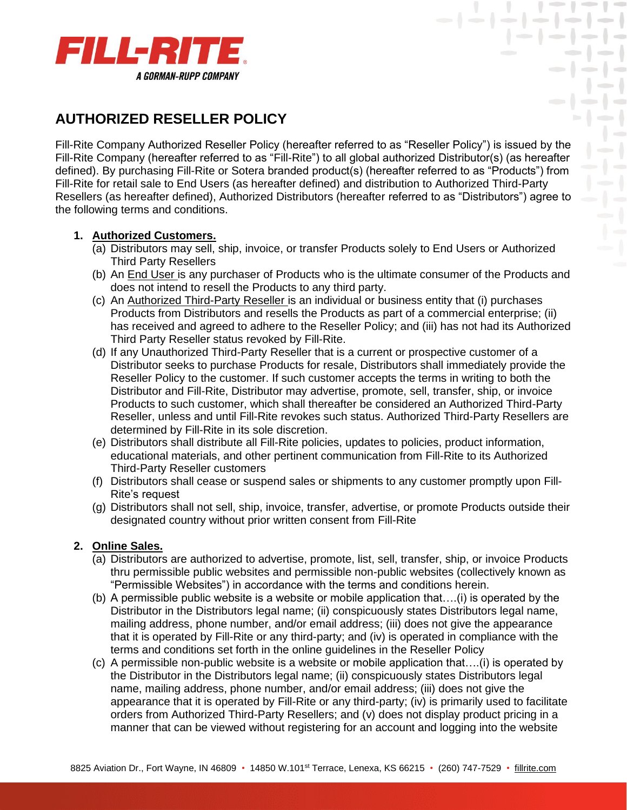

# **AUTHORIZED RESELLER POLICY**

Fill-Rite Company Authorized Reseller Policy (hereafter referred to as "Reseller Policy") is issued by the Fill-Rite Company (hereafter referred to as "Fill-Rite") to all global authorized Distributor(s) (as hereafter defined). By purchasing Fill-Rite or Sotera branded product(s) (hereafter referred to as "Products") from Fill-Rite for retail sale to End Users (as hereafter defined) and distribution to Authorized Third-Party Resellers (as hereafter defined), Authorized Distributors (hereafter referred to as "Distributors") agree to the following terms and conditions.

 $\mathcal{L} = \mathcal{L} = \mathcal{L} = \mathcal{L} = \mathcal{L} = \mathcal{L} = \mathcal{L} = \mathcal{L} = \mathcal{L} = \mathcal{L} = \mathcal{L} = \mathcal{L} = \mathcal{L} = \mathcal{L} = \mathcal{L} = \mathcal{L} = \mathcal{L} = \mathcal{L} = \mathcal{L} = \mathcal{L} = \mathcal{L} = \mathcal{L} = \mathcal{L} = \mathcal{L} = \mathcal{L} = \mathcal{L} = \mathcal{L} = \mathcal{L} = \mathcal{L} = \mathcal{L} = \mathcal{L} = \mathcal$ 

## **1. Authorized Customers.**

- (a) Distributors may sell, ship, invoice, or transfer Products solely to End Users or Authorized Third Party Resellers
- (b) An End User is any purchaser of Products who is the ultimate consumer of the Products and does not intend to resell the Products to any third party.
- (c) An Authorized Third-Party Reseller is an individual or business entity that (i) purchases Products from Distributors and resells the Products as part of a commercial enterprise; (ii) has received and agreed to adhere to the Reseller Policy; and (iii) has not had its Authorized Third Party Reseller status revoked by Fill-Rite.
- (d) If any Unauthorized Third-Party Reseller that is a current or prospective customer of a Distributor seeks to purchase Products for resale, Distributors shall immediately provide the Reseller Policy to the customer. If such customer accepts the terms in writing to both the Distributor and Fill-Rite, Distributor may advertise, promote, sell, transfer, ship, or invoice Products to such customer, which shall thereafter be considered an Authorized Third-Party Reseller, unless and until Fill-Rite revokes such status. Authorized Third-Party Resellers are determined by Fill-Rite in its sole discretion.
- (e) Distributors shall distribute all Fill-Rite policies, updates to policies, product information, educational materials, and other pertinent communication from Fill-Rite to its Authorized Third-Party Reseller customers
- (f) Distributors shall cease or suspend sales or shipments to any customer promptly upon Fill-Rite's request
- (g) Distributors shall not sell, ship, invoice, transfer, advertise, or promote Products outside their designated country without prior written consent from Fill-Rite

## **2. Online Sales.**

- (a) Distributors are authorized to advertise, promote, list, sell, transfer, ship, or invoice Products thru permissible public websites and permissible non-public websites (collectively known as "Permissible Websites") in accordance with the terms and conditions herein.
- (b) A permissible public website is a website or mobile application that….(i) is operated by the Distributor in the Distributors legal name; (ii) conspicuously states Distributors legal name, mailing address, phone number, and/or email address; (iii) does not give the appearance that it is operated by Fill-Rite or any third-party; and (iv) is operated in compliance with the terms and conditions set forth in the online guidelines in the Reseller Policy
- (c) A permissible non-public website is a website or mobile application that….(i) is operated by the Distributor in the Distributors legal name; (ii) conspicuously states Distributors legal name, mailing address, phone number, and/or email address; (iii) does not give the appearance that it is operated by Fill-Rite or any third-party; (iv) is primarily used to facilitate orders from Authorized Third-Party Resellers; and (v) does not display product pricing in a manner that can be viewed without registering for an account and logging into the website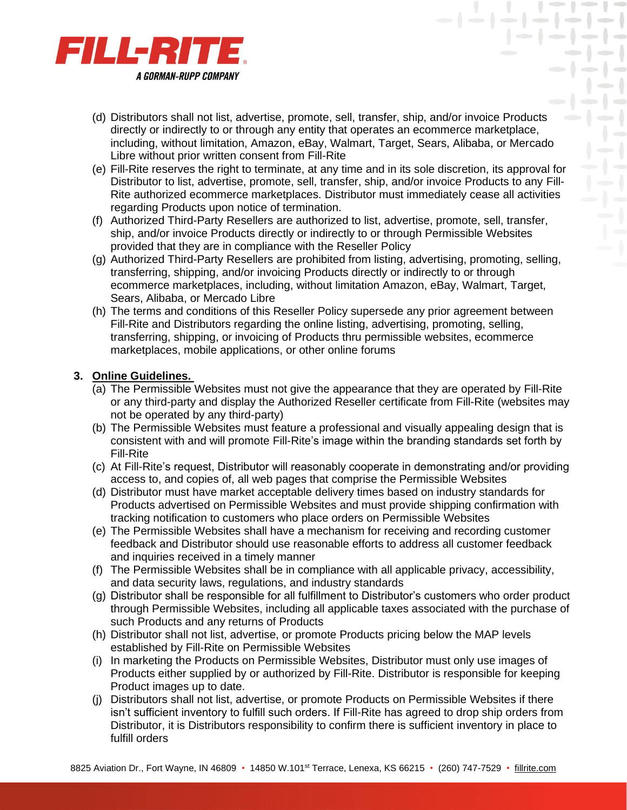

(d) Distributors shall not list, advertise, promote, sell, transfer, ship, and/or invoice Products directly or indirectly to or through any entity that operates an ecommerce marketplace, including, without limitation, Amazon, eBay, Walmart, Target, Sears, Alibaba, or Mercado Libre without prior written consent from Fill-Rite

 $\mathcal{L} = \mathcal{L} = \mathcal{L} = \mathcal{L} = \mathcal{L} = \mathcal{L} = \mathcal{L} = \mathcal{L} = \mathcal{L} = \mathcal{L} = \mathcal{L} = \mathcal{L} = \mathcal{L} = \mathcal{L} = \mathcal{L} = \mathcal{L} = \mathcal{L} = \mathcal{L} = \mathcal{L} = \mathcal{L} = \mathcal{L} = \mathcal{L} = \mathcal{L} = \mathcal{L} = \mathcal{L} = \mathcal{L} = \mathcal{L} = \mathcal{L} = \mathcal{L} = \mathcal{L} = \mathcal{L} = \mathcal$ 

 $|-|$ 

- (e) Fill-Rite reserves the right to terminate, at any time and in its sole discretion, its approval for Distributor to list, advertise, promote, sell, transfer, ship, and/or invoice Products to any Fill-Rite authorized ecommerce marketplaces. Distributor must immediately cease all activities regarding Products upon notice of termination.
- (f) Authorized Third-Party Resellers are authorized to list, advertise, promote, sell, transfer, ship, and/or invoice Products directly or indirectly to or through Permissible Websites provided that they are in compliance with the Reseller Policy
- (g) Authorized Third-Party Resellers are prohibited from listing, advertising, promoting, selling, transferring, shipping, and/or invoicing Products directly or indirectly to or through ecommerce marketplaces, including, without limitation Amazon, eBay, Walmart, Target, Sears, Alibaba, or Mercado Libre
- (h) The terms and conditions of this Reseller Policy supersede any prior agreement between Fill-Rite and Distributors regarding the online listing, advertising, promoting, selling, transferring, shipping, or invoicing of Products thru permissible websites, ecommerce marketplaces, mobile applications, or other online forums

## **3. Online Guidelines.**

- (a) The Permissible Websites must not give the appearance that they are operated by Fill-Rite or any third-party and display the Authorized Reseller certificate from Fill-Rite (websites may not be operated by any third-party)
- (b) The Permissible Websites must feature a professional and visually appealing design that is consistent with and will promote Fill-Rite's image within the branding standards set forth by Fill-Rite
- (c) At Fill-Rite's request, Distributor will reasonably cooperate in demonstrating and/or providing access to, and copies of, all web pages that comprise the Permissible Websites
- (d) Distributor must have market acceptable delivery times based on industry standards for Products advertised on Permissible Websites and must provide shipping confirmation with tracking notification to customers who place orders on Permissible Websites
- (e) The Permissible Websites shall have a mechanism for receiving and recording customer feedback and Distributor should use reasonable efforts to address all customer feedback and inquiries received in a timely manner
- (f) The Permissible Websites shall be in compliance with all applicable privacy, accessibility, and data security laws, regulations, and industry standards
- (g) Distributor shall be responsible for all fulfillment to Distributor's customers who order product through Permissible Websites, including all applicable taxes associated with the purchase of such Products and any returns of Products
- (h) Distributor shall not list, advertise, or promote Products pricing below the MAP levels established by Fill-Rite on Permissible Websites
- (i) In marketing the Products on Permissible Websites, Distributor must only use images of Products either supplied by or authorized by Fill-Rite. Distributor is responsible for keeping Product images up to date.
- (j) Distributors shall not list, advertise, or promote Products on Permissible Websites if there isn't sufficient inventory to fulfill such orders. If Fill-Rite has agreed to drop ship orders from Distributor, it is Distributors responsibility to confirm there is sufficient inventory in place to fulfill orders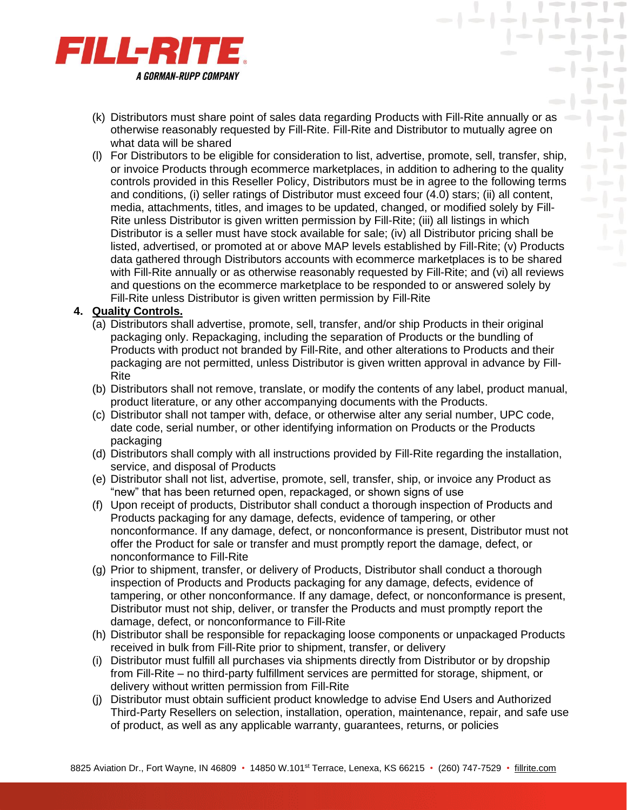

(k) Distributors must share point of sales data regarding Products with Fill-Rite annually or as otherwise reasonably requested by Fill-Rite. Fill-Rite and Distributor to mutually agree on what data will be shared

 $\mathcal{L} = \mathcal{L} = \mathcal{L} = \mathcal{L} = \mathcal{L} = \mathcal{L} = \mathcal{L} = \mathcal{L} = \mathcal{L} = \mathcal{L} = \mathcal{L} = \mathcal{L} = \mathcal{L} = \mathcal{L} = \mathcal{L} = \mathcal{L} = \mathcal{L} = \mathcal{L} = \mathcal{L} = \mathcal{L} = \mathcal{L} = \mathcal{L} = \mathcal{L} = \mathcal{L} = \mathcal{L} = \mathcal{L} = \mathcal{L} = \mathcal{L} = \mathcal{L} = \mathcal{L} = \mathcal{L} = \mathcal$ 

 $-1 - 1 -$ 

 $\rightarrow$ 

幕

(l) For Distributors to be eligible for consideration to list, advertise, promote, sell, transfer, ship, or invoice Products through ecommerce marketplaces, in addition to adhering to the quality controls provided in this Reseller Policy, Distributors must be in agree to the following terms and conditions, (i) seller ratings of Distributor must exceed four (4.0) stars; (ii) all content, media, attachments, titles, and images to be updated, changed, or modified solely by Fill-Rite unless Distributor is given written permission by Fill-Rite; (iii) all listings in which Distributor is a seller must have stock available for sale; (iv) all Distributor pricing shall be listed, advertised, or promoted at or above MAP levels established by Fill-Rite; (v) Products data gathered through Distributors accounts with ecommerce marketplaces is to be shared with Fill-Rite annually or as otherwise reasonably requested by Fill-Rite; and (vi) all reviews and questions on the ecommerce marketplace to be responded to or answered solely by Fill-Rite unless Distributor is given written permission by Fill-Rite

## **4. Quality Controls.**

- (a) Distributors shall advertise, promote, sell, transfer, and/or ship Products in their original packaging only. Repackaging, including the separation of Products or the bundling of Products with product not branded by Fill-Rite, and other alterations to Products and their packaging are not permitted, unless Distributor is given written approval in advance by Fill-Rite
- (b) Distributors shall not remove, translate, or modify the contents of any label, product manual, product literature, or any other accompanying documents with the Products.
- (c) Distributor shall not tamper with, deface, or otherwise alter any serial number, UPC code, date code, serial number, or other identifying information on Products or the Products packaging
- (d) Distributors shall comply with all instructions provided by Fill-Rite regarding the installation, service, and disposal of Products
- (e) Distributor shall not list, advertise, promote, sell, transfer, ship, or invoice any Product as "new" that has been returned open, repackaged, or shown signs of use
- (f) Upon receipt of products, Distributor shall conduct a thorough inspection of Products and Products packaging for any damage, defects, evidence of tampering, or other nonconformance. If any damage, defect, or nonconformance is present, Distributor must not offer the Product for sale or transfer and must promptly report the damage, defect, or nonconformance to Fill-Rite
- (g) Prior to shipment, transfer, or delivery of Products, Distributor shall conduct a thorough inspection of Products and Products packaging for any damage, defects, evidence of tampering, or other nonconformance. If any damage, defect, or nonconformance is present, Distributor must not ship, deliver, or transfer the Products and must promptly report the damage, defect, or nonconformance to Fill-Rite
- (h) Distributor shall be responsible for repackaging loose components or unpackaged Products received in bulk from Fill-Rite prior to shipment, transfer, or delivery
- (i) Distributor must fulfill all purchases via shipments directly from Distributor or by dropship from Fill-Rite – no third-party fulfillment services are permitted for storage, shipment, or delivery without written permission from Fill-Rite
- (j) Distributor must obtain sufficient product knowledge to advise End Users and Authorized Third-Party Resellers on selection, installation, operation, maintenance, repair, and safe use of product, as well as any applicable warranty, guarantees, returns, or policies